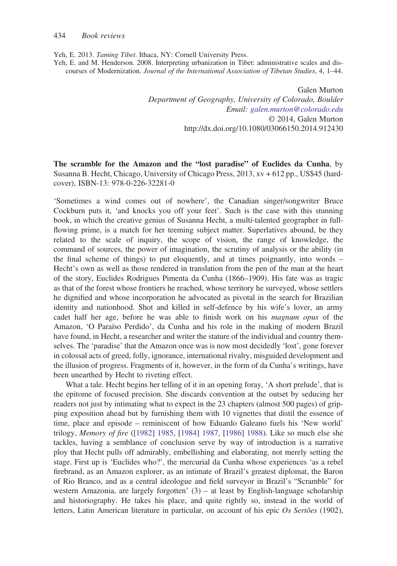Yeh, E. 2013. Taming Tibet. Ithaca, NY: Cornell University Press.

Yeh, E. and M. Henderson. 2008. Interpreting urbanization in Tibet: administrative scales and discourses of Modernization. Journal of the International Association of Tibetan Studies, 4, 1–44.

> Galen Murton Department of Geography, University of Colorado, Boulder Email: [galen.murton@colorado.edu](mailto:galen.murton@colorado.edu) © 2014, Galen Murton http://dx.doi.org/10.1080/03066150.2014.912430

The scramble for the Amazon and the "lost paradise" of Euclides da Cunha, by Susanna B. Hecht, Chicago, University of Chicago Press, 2013, xv + 612 pp., US\$45 (hardcover), ISBN-13: 978-0-226-32281-0

'Sometimes a wind comes out of nowhere', the Canadian singer/songwriter Bruce Cockburn puts it, 'and knocks you off your feet'. Such is the case with this stunning book, in which the creative genius of Susanna Hecht, a multi-talented geographer in fullflowing prime, is a match for her teeming subject matter. Superlatives abound, be they related to the scale of inquiry, the scope of vision, the range of knowledge, the command of sources, the power of imagination, the scrutiny of analysis or the ability (in the final scheme of things) to put eloquently, and at times poignantly, into words – Hecht's own as well as those rendered in translation from the pen of the man at the heart of the story, Euclides Rodrigues Pimenta da Cunha (1866–1909). His fate was as tragic as that of the forest whose frontiers he reached, whose territory he surveyed, whose settlers he dignified and whose incorporation he advocated as pivotal in the search for Brazilian identity and nationhood. Shot and killed in self-defence by his wife's lover, an army cadet half her age, before he was able to finish work on his magnum opus of the Amazon, 'O Paraíso Perdido', da Cunha and his role in the making of modern Brazil have found, in Hecht, a researcher and writer the stature of the individual and country themselves. The 'paradise' that the Amazon once was is now most decidedly 'lost', gone forever in colossal acts of greed, folly, ignorance, international rivalry, misguided development and the illusion of progress. Fragments of it, however, in the form of da Cunha's writings, have been unearthed by Hecht to riveting effect.

What a tale. Hecht begins her telling of it in an opening foray, 'A short prelude', that is the epitome of focused precision. She discards convention at the outset by seducing her readers not just by intimating what to expect in the 23 chapters (almost 500 pages) of gripping exposition ahead but by furnishing them with 10 vignettes that distil the essence of time, place and episode – reminiscent of how Eduardo Galeano fuels his 'New world' trilogy, Memory of fire ([1982] 1985, [1984] 1987, [1986] 1988). Like so much else she tackles, having a semblance of conclusion serve by way of introduction is a narrative ploy that Hecht pulls off admirably, embellishing and elaborating, not merely setting the stage. First up is 'Euclides who?', the mercurial da Cunha whose experiences 'as a rebel firebrand, as an Amazon explorer, as an intimate of Brazil's greatest diplomat, the Baron of Rio Branco, and as a central ideologue and field surveyor in Brazil's "Scramble" for western Amazonia, are largely forgotten'  $(3)$  – at least by English-language scholarship and historiography. He takes his place, and quite rightly so, instead in the world of letters, Latin American literature in particular, on account of his epic Os Sertões (1902),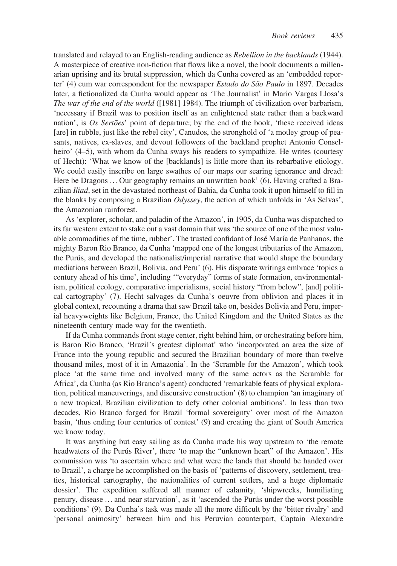translated and relayed to an English-reading audience as Rebellion in the backlands (1944). A masterpiece of creative non-fiction that flows like a novel, the book documents a millenarian uprising and its brutal suppression, which da Cunha covered as an 'embedded reporter' (4) cum war correspondent for the newspaper Estado do São Paulo in 1897. Decades later, a fictionalized da Cunha would appear as 'The Journalist' in Mario Vargas Llosa's The war of the end of the world ([1981] 1984). The triumph of civilization over barbarism, 'necessary if Brazil was to position itself as an enlightened state rather than a backward nation', is Os Sertões' point of departure; by the end of the book, 'these received ideas [are] in rubble, just like the rebel city', Canudos, the stronghold of 'a motley group of peasants, natives, ex-slaves, and devout followers of the backland prophet Antonio Conselheiro' (4–5), with whom da Cunha sways his readers to sympathize. He writes (courtesy of Hecht): 'What we know of the [backlands] is little more than its rebarbative etiology. We could easily inscribe on large swathes of our maps our searing ignorance and dread: Here be Dragons … Our geography remains an unwritten book' (6). Having crafted a Brazilian Iliad, set in the devastated northeast of Bahia, da Cunha took it upon himself to fill in the blanks by composing a Brazilian Odyssey, the action of which unfolds in 'As Selvas', the Amazonian rainforest.

As 'explorer, scholar, and paladin of the Amazon', in 1905, da Cunha was dispatched to its far western extent to stake out a vast domain that was 'the source of one of the most valuable commodities of the time, rubber'. The trusted confidant of José María de Panhanos, the mighty Baron Rio Branco, da Cunha 'mapped one of the longest tributaries of the Amazon, the Purús, and developed the nationalist/imperial narrative that would shape the boundary mediations between Brazil, Bolivia, and Peru' (6). His disparate writings embrace 'topics a century ahead of his time', including '"everyday" forms of state formation, environmentalism, political ecology, comparative imperialisms, social history "from below", [and] political cartography' (7). Hecht salvages da Cunha's oeuvre from oblivion and places it in global context, recounting a drama that saw Brazil take on, besides Bolivia and Peru, imperial heavyweights like Belgium, France, the United Kingdom and the United States as the nineteenth century made way for the twentieth.

If da Cunha commands front stage center, right behind him, or orchestrating before him, is Baron Rio Branco, 'Brazil's greatest diplomat' who 'incorporated an area the size of France into the young republic and secured the Brazilian boundary of more than twelve thousand miles, most of it in Amazonia'. In the 'Scramble for the Amazon', which took place 'at the same time and involved many of the same actors as the Scramble for Africa', da Cunha (as Rio Branco's agent) conducted 'remarkable feats of physical exploration, political maneuverings, and discursive construction' (8) to champion 'an imaginary of a new tropical, Brazilian civilization to defy other colonial ambitions'. In less than two decades, Rio Branco forged for Brazil 'formal sovereignty' over most of the Amazon basin, 'thus ending four centuries of contest' (9) and creating the giant of South America we know today.

It was anything but easy sailing as da Cunha made his way upstream to 'the remote headwaters of the Purús River', there 'to map the "unknown heart" of the Amazon'. His commission was 'to ascertain where and what were the lands that should be handed over to Brazil', a charge he accomplished on the basis of 'patterns of discovery, settlement, treaties, historical cartography, the nationalities of current settlers, and a huge diplomatic dossier'. The expedition suffered all manner of calamity, 'shipwrecks, humiliating penury, disease … and near starvation', as it 'ascended the Purús under the worst possible conditions' (9). Da Cunha's task was made all the more difficult by the 'bitter rivalry' and 'personal animosity' between him and his Peruvian counterpart, Captain Alexandre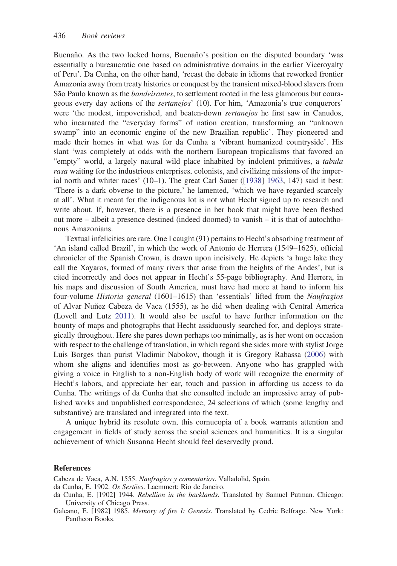Buenaño. As the two locked horns, Buenaño's position on the disputed boundary 'was essentially a bureaucratic one based on administrative domains in the earlier Viceroyalty of Peru'. Da Cunha, on the other hand, 'recast the debate in idioms that reworked frontier Amazonia away from treaty histories or conquest by the transient mixed-blood slavers from São Paulo known as the *bandeirantes*, to settlement rooted in the less glamorous but courageous every day actions of the sertanejos' (10). For him, 'Amazonia's true conquerors' were 'the modest, impoverished, and beaten-down sertanejos he first saw in Canudos, who incarnated the "everyday forms" of nation creation, transforming an "unknown swamp" into an economic engine of the new Brazilian republic'. They pioneered and made their homes in what was for da Cunha a 'vibrant humanized countryside'. His slant 'was completely at odds with the northern European tropicalisms that favored an "empty" world, a largely natural wild place inhabited by indolent primitives, a tabula rasa waiting for the industrious enterprises, colonists, and civilizing missions of the imperial north and whiter races' (10–1). The great Carl Sauer ([1938] 1963, 147) said it best: 'There is a dark obverse to the picture,' he lamented, 'which we have regarded scarcely at all'. What it meant for the indigenous lot is not what Hecht signed up to research and write about. If, however, there is a presence in her book that might have been fleshed out more – albeit a presence destined (indeed doomed) to vanish – it is that of autochthonous Amazonians.

Textual infelicities are rare. One I caught (91) pertains to Hecht's absorbing treatment of 'An island called Brazil', in which the work of Antonio de Herrera (1549–1625), official chronicler of the Spanish Crown, is drawn upon incisively. He depicts 'a huge lake they call the Xayaros, formed of many rivers that arise from the heights of the Andes', but is cited incorrectly and does not appear in Hecht's 55-page bibliography. And Herrera, in his maps and discussion of South America, must have had more at hand to inform his four-volume Historia general (1601–1615) than 'essentials' lifted from the Naufragios of Alvar Nuñez Cabeza de Vaca (1555), as he did when dealing with Central America (Lovell and Lutz 2011). It would also be useful to have further information on the bounty of maps and photographs that Hecht assiduously searched for, and deploys strategically throughout. Here she pares down perhaps too minimally, as is her wont on occasion with respect to the challenge of translation, in which regard she sides more with stylist Jorge Luis Borges than purist Vladimir Nabokov, though it is Gregory Rabassa (2006) with whom she aligns and identifies most as go-between. Anyone who has grappled with giving a voice in English to a non-English body of work will recognize the enormity of Hecht's labors, and appreciate her ear, touch and passion in affording us access to da Cunha. The writings of da Cunha that she consulted include an impressive array of published works and unpublished correspondence, 24 selections of which (some lengthy and substantive) are translated and integrated into the text.

A unique hybrid its resolute own, this cornucopia of a book warrants attention and engagement in fields of study across the social sciences and humanities. It is a singular achievement of which Susanna Hecht should feel deservedly proud.

## References

Cabeza de Vaca, A.N. 1555. Naufragios y comentarios. Valladolid, Spain.

da Cunha, E. 1902. Os Sertões. Laemmert: Rio de Janeiro.

- da Cunha, E. [1902] 1944. Rebellion in the backlands. Translated by Samuel Putman. Chicago: University of Chicago Press.
- Galeano, E. [1982] 1985. Memory of fire I: Genesis. Translated by Cedric Belfrage. New York: Pantheon Books.